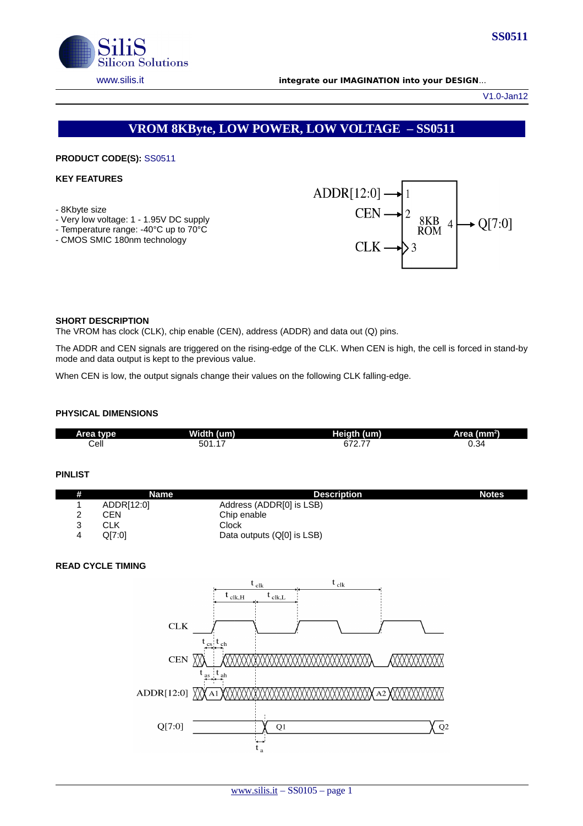

V1.0-Jan12

# **VROM 8KByte, LOW POWER, LOW VOLTAGE – SS0511**

## **PRODUCT CODE(S):** SS0511

# **KEY FEATURES**

- 8Kbyte size
- Very low voltage: 1 1.95V DC supply
- Temperature range: -40°C up to 70°C
- CMOS SMIC 180nm technology



#### **SHORT DESCRIPTION**

The VROM has clock (CLK), chip enable (CEN), address (ADDR) and data out (Q) pins.

The ADDR and CEN signals are triggered on the rising-edge of the CLK. When CEN is high, the cell is forced in stand-by mode and data output is kept to the previous value.

When CEN is low, the output signals change their values on the following CLK falling-edge.

### **PHYSICAL DIMENSIONS**

| tvne<br>Area | Width (u<br>um) | Heigth (um)    | 'Area (mm <del>'</del> ). |
|--------------|-----------------|----------------|---------------------------|
| Cell         | -<br>501.17     | ~70<br>--<br>. | 0.34                      |

#### **PINLIST**

| # | Name       | <b>Description</b>         | <b>Notes</b> |
|---|------------|----------------------------|--------------|
|   | ADDR[12:0] | Address (ADDR[0] is LSB)   |              |
|   | CEN        | Chip enable                |              |
|   | CLK        | Clock                      |              |
|   | O[7:0]     | Data outputs (Q[0] is LSB) |              |

# **READ CYCLE TIMING**